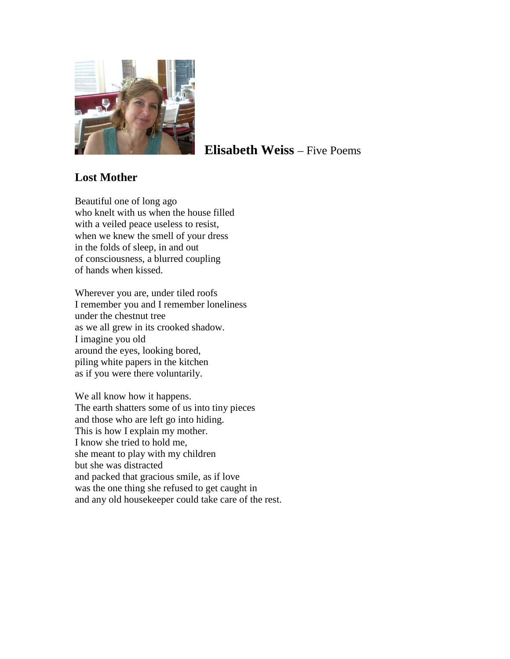

# **Elisabeth Weiss** – Five Poems

## **Lost Mother**

Beautiful one of long ago who knelt with us when the house filled with a veiled peace useless to resist, when we knew the smell of your dress in the folds of sleep, in and out of consciousness, a blurred coupling of hands when kissed.

Wherever you are, under tiled roofs I remember you and I remember loneliness under the chestnut tree as we all grew in its crooked shadow. I imagine you old around the eyes, looking bored, piling white papers in the kitchen as if you were there voluntarily.

We all know how it happens. The earth shatters some of us into tiny pieces and those who are left go into hiding. This is how I explain my mother. I know she tried to hold me, she meant to play with my children but she was distracted and packed that gracious smile, as if love was the one thing she refused to get caught in and any old housekeeper could take care of the rest.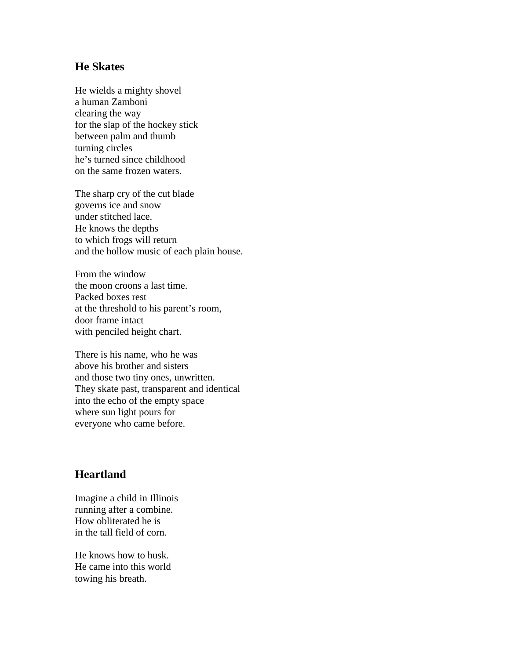#### **He Skates**

He wields a mighty shovel a human Zamboni clearing the way for the slap of the hockey stick between palm and thumb turning circles he's turned since childhood on the same frozen waters.

The sharp cry of the cut blade governs ice and snow under stitched lace. He knows the depths to which frogs will return and the hollow music of each plain house.

From the window the moon croons a last time. Packed boxes rest at the threshold to his parent's room, door frame intact with penciled height chart.

There is his name, who he was above his brother and sisters and those two tiny ones, unwritten. They skate past, transparent and identical into the echo of the empty space where sun light pours for everyone who came before.

### **Heartland**

Imagine a child in Illinois running after a combine. How obliterated he is in the tall field of corn.

He knows how to husk. He came into this world towing his breath.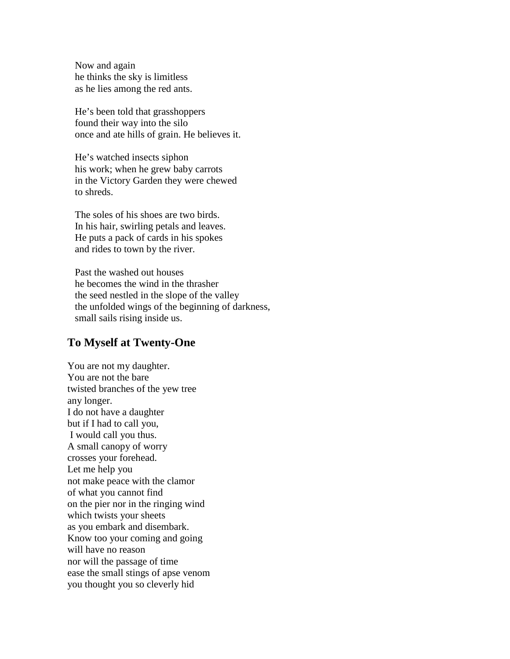Now and again he thinks the sky is limitless as he lies among the red ants.

He's been told that grasshoppers found their way into the silo once and ate hills of grain. He believes it.

He's watched insects siphon his work; when he grew baby carrots in the Victory Garden they were chewed to shreds.

The soles of his shoes are two birds. In his hair, swirling petals and leaves. He puts a pack of cards in his spokes and rides to town by the river.

Past the washed out houses he becomes the wind in the thrasher the seed nestled in the slope of the valley the unfolded wings of the beginning of darkness, small sails rising inside us.

#### **To Myself at Twenty-One**

You are not my daughter. You are not the bare twisted branches of the yew tree any longer. I do not have a daughter but if I had to call you, I would call you thus. A small canopy of worry crosses your forehead. Let me help you not make peace with the clamor of what you cannot find on the pier nor in the ringing wind which twists your sheets as you embark and disembark. Know too your coming and going will have no reason nor will the passage of time ease the small stings of apse venom you thought you so cleverly hid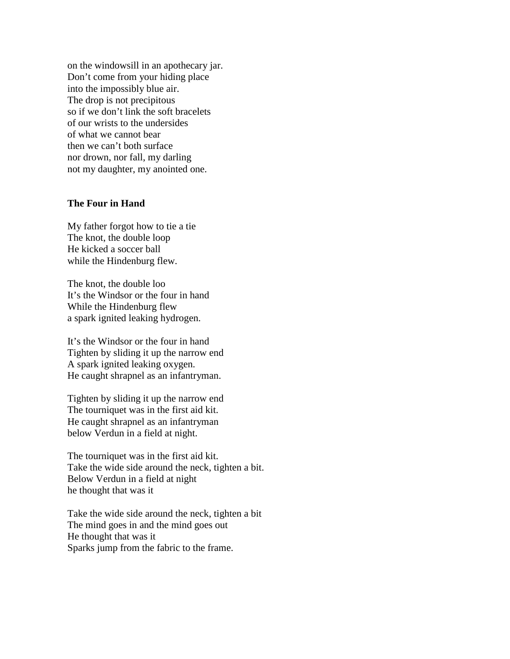on the windowsill in an apothecary jar. Don't come from your hiding place into the impossibly blue air. The drop is not precipitous so if we don't link the soft bracelets of our wrists to the undersides of what we cannot bear then we can't both surface nor drown, nor fall, my darling not my daughter, my anointed one.

#### **The Four in Hand**

My father forgot how to tie a tie The knot, the double loop He kicked a soccer ball while the Hindenburg flew.

The knot, the double loo It's the Windsor or the four in hand While the Hindenburg flew a spark ignited leaking hydrogen.

It's the Windsor or the four in hand Tighten by sliding it up the narrow end A spark ignited leaking oxygen. He caught shrapnel as an infantryman.

Tighten by sliding it up the narrow end The tourniquet was in the first aid kit. He caught shrapnel as an infantryman below Verdun in a field at night.

The tourniquet was in the first aid kit. Take the wide side around the neck, tighten a bit. Below Verdun in a field at night he thought that was it

Take the wide side around the neck, tighten a bit The mind goes in and the mind goes out He thought that was it Sparks jump from the fabric to the frame.